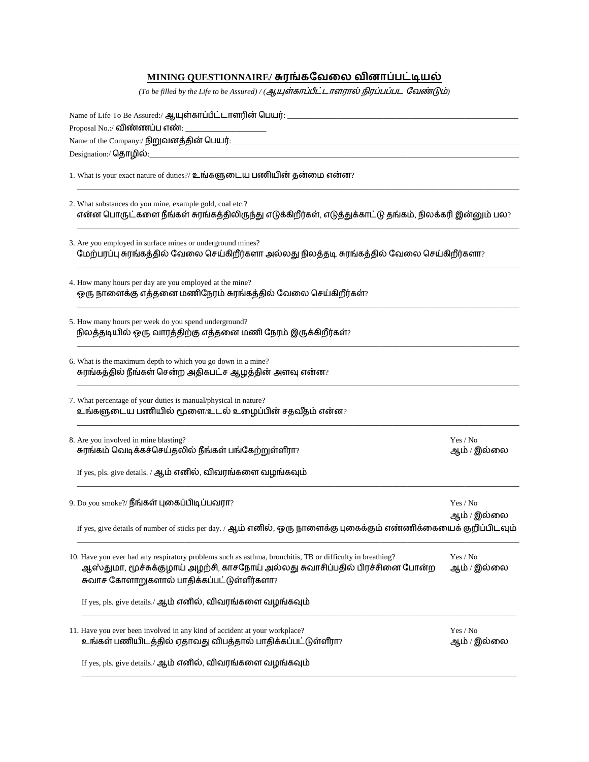| <u>MINING QUESTIONNAIRE/ சுரங்கவேலை வினாப்பட்டியல்</u>                                                                                                                                    |                         |
|-------------------------------------------------------------------------------------------------------------------------------------------------------------------------------------------|-------------------------|
| (To be filled by the Life to be Assured) / (ஆயுள்காப்பீட்டாளரால் நிரப்பப்பட வேண்டும்)                                                                                                     |                         |
|                                                                                                                                                                                           |                         |
| Proposal No.:/ <mark>விண்ணப்ப எண்</mark> : __________________________                                                                                                                     |                         |
|                                                                                                                                                                                           |                         |
| Designation:/ தொழில்:_                                                                                                                                                                    |                         |
| 1. What is your exact nature of duties?/ உங்களுடைய பணியின் தன்மை என்ன?                                                                                                                    |                         |
| 2. What substances do you mine, example gold, coal etc.?<br>என்ன பொருட்களை நீங்கள் சுரங்கத்திலிருந்து எடுக்கிறீர்கள், எடுத்துக்காட்டு தங்கம், நிலக்கரி இன்னும் பல?                        |                         |
| 3. Are you employed in surface mines or underground mines?<br>மேற்பரப்பு சுரங்கத்தில் வேலை செய்கிறீர்களா அல்லது நிலத்தடி சுரங்கத்தில் வேலை செய்கிறீர்களா?                                 |                         |
| 4. How many hours per day are you employed at the mine?<br>ஒரு நாளைக்கு எத்தனை மணிநேரம் சுரங்கத்தில் வேலை செய்கிறீர்கள்?                                                                  |                         |
| 5. How many hours per week do you spend underground?<br>நிலத்தடியில் ஒரு வாரத்திற்கு எத்தனை மணி நேரம் இருக்கிறீர்கள்?                                                                     |                         |
| 6. What is the maximum depth to which you go down in a mine?<br>் சுரங்கத்தில் நீங்கள் சென்ற அதிகபட்ச ஆழத்தின் அளவு என்ன?                                                                 |                         |
| 7. What percentage of your duties is manual/physical in nature?<br>உங்களுடைய பணியில் மூளை/உடல் உழைப்பின் சதவீதம் என்ன?                                                                    |                         |
| 8. Are you involved in mine blasting?<br>சுரங்கம் வெடிக்கச்செய்தலில் நீங்கள் பங்கேற்றுள்ளீரா?                                                                                             | Yes / No<br>ஆம் / இல்லை |
| If yes, pls. give details. / ஆம் எனில், விவரங்களை வழங்கவும்                                                                                                                               |                         |
| 9. Do you smoke?/ <b>நீங்கள் புகைப்பிடிப்பவரா</b> ?                                                                                                                                       | Yes / No<br>ஆம் / இல்லை |
| If yes, give details of number of sticks per day. / ஆம் எனில், ஒரு நாளைக்கு புகைக்கும் எண்ணிக்கையைக் குறிப்பிடவும்                                                                        |                         |
| 10. Have you ever had any respiratory problems such as asthma, bronchitis, TB or difficulty in breathing?<br>ஆஸ்துமா, மூச்சுக்குழாய் அழற்சி, காசநோய் அல்லது சுவாசிப்பதில் பிரச்சினை போன்ற | Yes / No<br>ஆம் / இல்லை |
| சுவாச கோளாறுகளால் பாதிக்கப்பட்டுள்ளீர்களா?                                                                                                                                                |                         |
| If yes, pls. give details./ ஆம் எனில், விவரங்களை வழங்கவும்                                                                                                                                |                         |
| 11. Have you ever been involved in any kind of accident at your workplace?<br>உங்கள் பணியிடத்தில் ஏதாவது விபத்தால் பாதிக்கப்பட்டுள்ளீரா?                                                  | Yes / No<br>ஆம் / இல்லை |
| If yes, pls. give details./ ஆம் எனில், விவரங்களை வழங்கவும்                                                                                                                                |                         |

\_\_\_\_\_\_\_\_\_\_\_\_\_\_\_\_\_\_\_\_\_\_\_\_\_\_\_\_\_\_\_\_\_\_\_\_\_\_\_\_\_\_\_\_\_\_\_\_\_\_\_\_\_\_\_\_\_\_\_\_\_\_\_\_\_\_\_\_\_\_\_\_\_\_\_\_\_\_\_\_\_\_\_\_\_\_\_\_\_\_\_\_\_\_\_\_\_\_\_\_\_\_\_\_\_\_\_\_\_\_\_\_\_